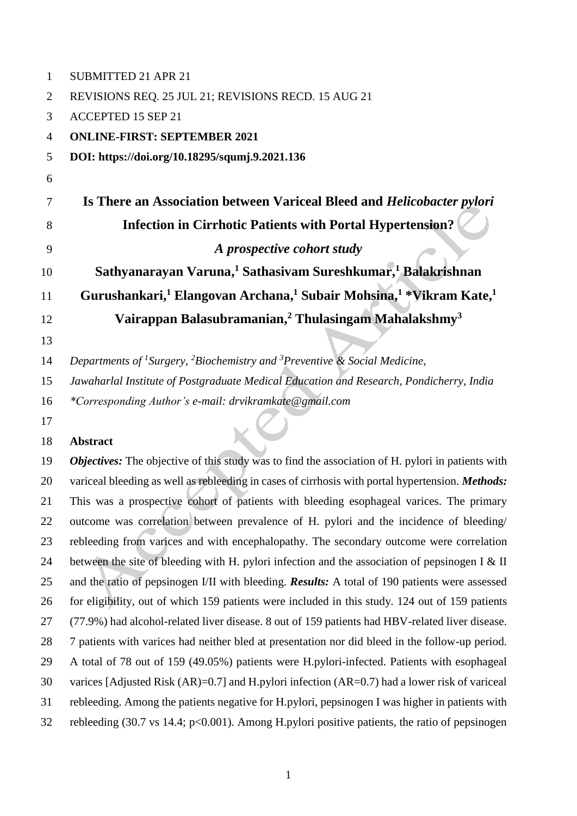| 1              | <b>SUBMITTED 21 APR 21</b>                                                                                          |
|----------------|---------------------------------------------------------------------------------------------------------------------|
| $\overline{2}$ | REVISIONS REQ. 25 JUL 21; REVISIONS RECD. 15 AUG 21                                                                 |
| 3              | <b>ACCEPTED 15 SEP 21</b>                                                                                           |
| 4              | <b>ONLINE-FIRST: SEPTEMBER 2021</b>                                                                                 |
| 5              | DOI: https://doi.org/10.18295/squmj.9.2021.136                                                                      |
| 6              |                                                                                                                     |
| 7              | Is There an Association between Variceal Bleed and Helicobacter pylori                                              |
| 8              | <b>Infection in Cirrhotic Patients with Portal Hypertension?</b>                                                    |
| 9              | A prospective cohort study                                                                                          |
| 10             | Sathyanarayan Varuna, <sup>1</sup> Sathasivam Sureshkumar, <sup>1</sup> Balakrishnan                                |
| 11             | Gurushankari, <sup>1</sup> Elangovan Archana, <sup>1</sup> Subair Mohsina, <sup>1</sup> *Vikram Kate, <sup>1</sup>  |
| 12             | Vairappan Balasubramanian, <sup>2</sup> Thulasingam Mahalakshmy <sup>3</sup>                                        |
| 13             |                                                                                                                     |
| 14             | Departments of <sup>1</sup> Surgery, <sup>2</sup> Biochemistry and <sup>3</sup> Preventive & Social Medicine,       |
| 15             | Jawaharlal Institute of Postgraduate Medical Education and Research, Pondicherry, India                             |
| 16             | *Corresponding Author's e-mail: drvikramkate@gmail.com                                                              |
| 17             |                                                                                                                     |
| 18             | <b>Abstract</b>                                                                                                     |
| 19             | Objectives: The objective of this study was to find the association of H. pylori in patients with                   |
| 20             | variceal bleeding as well as rebleeding in cases of cirrhosis with portal hypertension. Methods:                    |
| 21             | This was a prospective cohort of patients with bleeding esophageal varices. The primary                             |
| 22             | outcome was correlation between prevalence of H. pylori and the incidence of bleeding/                              |
| 23             | rebleeding from varices and with encephalopathy. The secondary outcome were correlation                             |
| 24             | between the site of bleeding with H. pylori infection and the association of pepsinogen I $&$ II                    |
| 25             | and the ratio of pepsinogen I/II with bleeding. Results: A total of 190 patients were assessed                      |
| 26             | for eligibility, out of which 159 patients were included in this study. 124 out of 159 patients                     |
| 27             | (77.9%) had alcohol-related liver disease. 8 out of 159 patients had HBV-related liver disease.                     |
| 28             | 7 patients with varices had neither bled at presentation nor did bleed in the follow-up period.                     |
| 29             | A total of 78 out of 159 (49.05%) patients were H.pylori-infected. Patients with esophageal                         |
| 30             | varices [Adjusted Risk (AR)=0.7] and H.pylori infection (AR=0.7) had a lower risk of variceal                       |
| 31             | rebleeding. Among the patients negative for H.pylori, pepsinogen I was higher in patients with                      |
| 32             | rebleeding $(30.7 \text{ vs } 14.4; \text{ p} < 0.001)$ . Among H.pylori positive patients, the ratio of pepsinogen |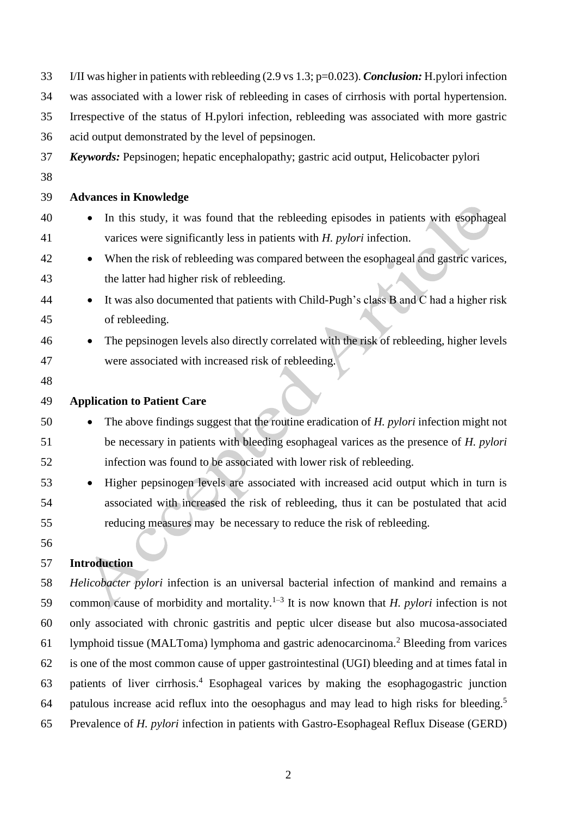| 33 | I/II was higher in patients with rebleeding $(2.9 \text{ vs } 1.3; \text{p=0.023})$ . <i>Conclusion</i> : H. pylori infection |
|----|-------------------------------------------------------------------------------------------------------------------------------|
| 34 | was associated with a lower risk of rebleeding in cases of cirrhosis with portal hypertension.                                |
| 35 | Irrespective of the status of H.pylori infection, rebleeding was associated with more gastric                                 |
| 36 | acid output demonstrated by the level of pepsinogen.                                                                          |
| 37 | <b>Keywords:</b> Pepsinogen; hepatic encephalopathy; gastric acid output, Helicobacter pylori                                 |
| 38 |                                                                                                                               |
| 39 | <b>Advances in Knowledge</b>                                                                                                  |
| 40 | In this study, it was found that the rebleeding episodes in patients with esophageal                                          |
| 41 | varices were significantly less in patients with $H$ . <i>pylori</i> infection.                                               |
| 42 | When the risk of rebleeding was compared between the esophageal and gastric varices,<br>$\bullet$                             |
| 43 | the latter had higher risk of rebleeding.                                                                                     |
| 44 | It was also documented that patients with Child-Pugh's class B and C had a higher risk<br>$\bullet$                           |
| 45 | of rebleeding.                                                                                                                |
| 46 | The pepsinogen levels also directly correlated with the risk of rebleeding, higher levels                                     |
| 47 | were associated with increased risk of rebleeding.                                                                            |
| 48 |                                                                                                                               |
| 49 | <b>Application to Patient Care</b>                                                                                            |
| 50 | The above findings suggest that the routine eradication of H. pylori infection might not                                      |
| 51 | be necessary in patients with bleeding esophageal varices as the presence of H. pylori                                        |
| 52 | infection was found to be associated with lower risk of rebleeding.                                                           |
| 53 | Higher pepsinogen levels are associated with increased acid output which in turn is<br>$\bullet$                              |
| 54 | associated with increased the risk of rebleeding, thus it can be postulated that acid                                         |
| 55 | reducing measures may be necessary to reduce the risk of rebleeding.                                                          |
| 56 |                                                                                                                               |

# **Introduction**

 *Helicobacter pylori* infection is an universal bacterial infection of mankind and remains a 59 common cause of morbidity and mortality.<sup>1-3</sup> It is now known that *H. pylori* infection is not only associated with chronic gastritis and peptic ulcer disease but also mucosa-associated 61 lymphoid tissue (MALToma) lymphoma and gastric adenocarcinoma.<sup>2</sup> Bleeding from varices is one of the most common cause of upper gastrointestinal (UGI) bleeding and at times fatal in 63 patients of liver cirrhosis.<sup>4</sup> Esophageal varices by making the esophagogastric junction patulous increase acid reflux into the oesophagus and may lead to high risks for bleeding.<sup>5</sup> Prevalence of *H. pylori* infection in patients with Gastro-Esophageal Reflux Disease (GERD)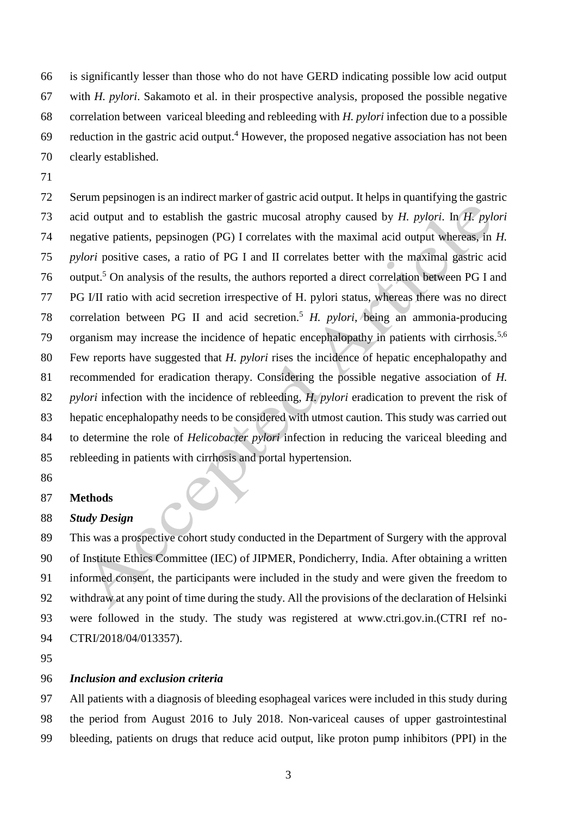is significantly lesser than those who do not have GERD indicating possible low acid output with *H. pylori*. Sakamoto et al. in their prospective analysis, proposed the possible negative correlation between variceal bleeding and rebleeding with *H. pylori* infection due to a possible 69 reduction in the gastric acid output.<sup>4</sup> However, the proposed negative association has not been clearly established.

 Serum pepsinogen is an indirect marker of gastric acid output. It helps in quantifying the gastric acid output and to establish the gastric mucosal atrophy caused by *H. pylori*. In *H. pylori*  negative patients, pepsinogen (PG) I correlates with the maximal acid output whereas, in *H. pylori* positive cases, a ratio of PG I and II correlates better with the maximal gastric acid 76 output.<sup>5</sup> On analysis of the results, the authors reported a direct correlation between PG I and PG I/II ratio with acid secretion irrespective of H. pylori status, whereas there was no direct 78 correlation between PG II and acid secretion.<sup>5</sup> H. pylori, being an ammonia-producing 79 organism may increase the incidence of hepatic encephalopathy in patients with cirrhosis.<sup>5,6</sup> Few reports have suggested that *H. pylori* rises the incidence of hepatic encephalopathy and recommended for eradication therapy. Considering the possible negative association of *H. pylori* infection with the incidence of rebleeding, *H. pylori* eradication to prevent the risk of hepatic encephalopathy needs to be considered with utmost caution. This study was carried out to determine the role of *Helicobacter pylori* infection in reducing the variceal bleeding and rebleeding in patients with cirrhosis and portal hypertension.

#### **Methods**

#### *Study Design*

 This was a prospective cohort study conducted in the Department of Surgery with the approval of Institute Ethics Committee (IEC) of JIPMER, Pondicherry, India. After obtaining a written informed consent, the participants were included in the study and were given the freedom to withdraw at any point of time during the study. All the provisions of the declaration of Helsinki were followed in the study. The study was registered at www.ctri.gov.in.(CTRI ref no-CTRI/2018/04/013357).

# *Inclusion and exclusion criteria*

 All patients with a diagnosis of bleeding esophageal varices were included in this study during the period from August 2016 to July 2018. Non-variceal causes of upper gastrointestinal bleeding, patients on drugs that reduce acid output, like proton pump inhibitors (PPI) in the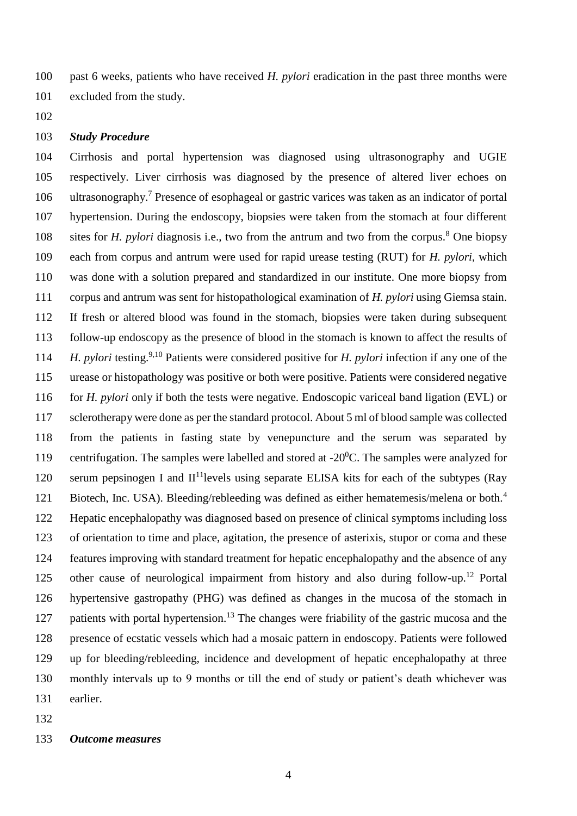past 6 weeks, patients who have received *H. pylori* eradication in the past three months were excluded from the study.

## *Study Procedure*

 Cirrhosis and portal hypertension was diagnosed using ultrasonography and UGIE respectively. Liver cirrhosis was diagnosed by the presence of altered liver echoes on 106 ultrasonography.<sup>7</sup> Presence of esophageal or gastric varices was taken as an indicator of portal hypertension. During the endoscopy, biopsies were taken from the stomach at four different 108 sites for *H. pylori* diagnosis i.e., two from the antrum and two from the corpus.<sup>8</sup> One biopsy each from corpus and antrum were used for rapid urease testing (RUT) for *H. pylori*, which was done with a solution prepared and standardized in our institute. One more biopsy from corpus and antrum was sent for histopathological examination of *H. pylori* using Giemsa stain. If fresh or altered blood was found in the stomach, biopsies were taken during subsequent follow-up endoscopy as the presence of blood in the stomach is known to affect the results of *H. pylori* testing.<sup>9,10</sup> Patients were considered positive for *H. pylori* infection if any one of the urease or histopathology was positive or both were positive. Patients were considered negative for *H. pylori* only if both the tests were negative. Endoscopic variceal band ligation (EVL) or sclerotherapy were done as per the standard protocol. About 5 ml of blood sample was collected from the patients in fasting state by venepuncture and the serum was separated by 119 centrifugation. The samples were labelled and stored at  $-20^0$ C. The samples were analyzed for 120 serum pepsinogen I and  $II<sup>11</sup>$  levels using separate ELISA kits for each of the subtypes (Ray Biotech, Inc. USA). Bleeding/rebleeding was defined as either hematemesis/melena or both.<sup>4</sup> Hepatic encephalopathy was diagnosed based on presence of clinical symptoms including loss of orientation to time and place, agitation, the presence of asterixis, stupor or coma and these features improving with standard treatment for hepatic encephalopathy and the absence of any 125 other cause of neurological impairment from history and also during follow-up.<sup>12</sup> Portal hypertensive gastropathy (PHG) was defined as changes in the mucosa of the stomach in 127 patients with portal hypertension.<sup>13</sup> The changes were friability of the gastric mucosa and the presence of ecstatic vessels which had a mosaic pattern in endoscopy. Patients were followed up for bleeding/rebleeding, incidence and development of hepatic encephalopathy at three monthly intervals up to 9 months or till the end of study or patient's death whichever was earlier.

#### *Outcome measures*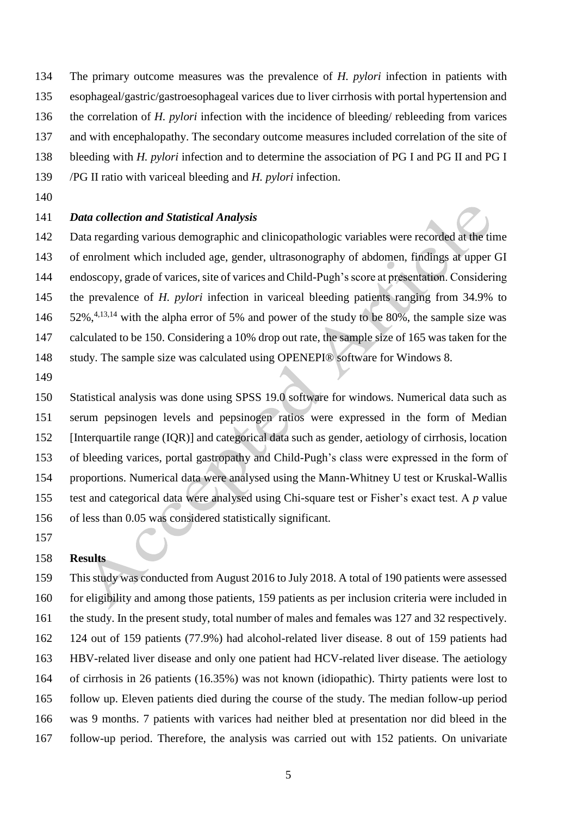- The primary outcome measures was the prevalence of *H. pylori* infection in patients with esophageal/gastric/gastroesophageal varices due to liver cirrhosis with portal hypertension and the correlation of *H. pylori* infection with the incidence of bleeding/ rebleeding from varices and with encephalopathy. The secondary outcome measures included correlation of the site of bleeding with *H. pylori* infection and to determine the association of PG I and PG II and PG I
- /PG II ratio with variceal bleeding and *H. pylori* infection.
- 

# *Data collection and Statistical Analysis*

 Data regarding various demographic and clinicopathologic variables were recorded at the time of enrolment which included age, gender, ultrasonography of abdomen, findings at upper GI endoscopy, grade of varices, site of varices and Child-Pugh's score at presentation. Considering the prevalence of *H. pylori* infection in variceal bleeding patients ranging from 34.9% to  $52\%$ , <sup>4,13,14</sup> with the alpha error of 5% and power of the study to be 80%, the sample size was 147 calculated to be 150. Considering a 10% drop out rate, the sample size of 165 was taken for the study. The sample size was calculated using OPENEPI® software for Windows 8.

 Statistical analysis was done using SPSS 19.0 software for windows. Numerical data such as serum pepsinogen levels and pepsinogen ratios were expressed in the form of Median [Interquartile range (IQR)] and categorical data such as gender, aetiology of cirrhosis, location of bleeding varices, portal gastropathy and Child-Pugh's class were expressed in the form of proportions. Numerical data were analysed using the Mann-Whitney U test or Kruskal-Wallis test and categorical data were analysed using Chi-square test or Fisher's exact test. A *p* value of less than 0.05 was considered statistically significant.

#### **Results**

 This study was conducted from August 2016 to July 2018. A total of 190 patients were assessed for eligibility and among those patients, 159 patients as per inclusion criteria were included in the study. In the present study, total number of males and females was 127 and 32 respectively. 124 out of 159 patients (77.9%) had alcohol-related liver disease. 8 out of 159 patients had HBV-related liver disease and only one patient had HCV-related liver disease. The aetiology of cirrhosis in 26 patients (16.35%) was not known (idiopathic). Thirty patients were lost to follow up. Eleven patients died during the course of the study. The median follow-up period was 9 months. 7 patients with varices had neither bled at presentation nor did bleed in the follow-up period. Therefore, the analysis was carried out with 152 patients. On univariate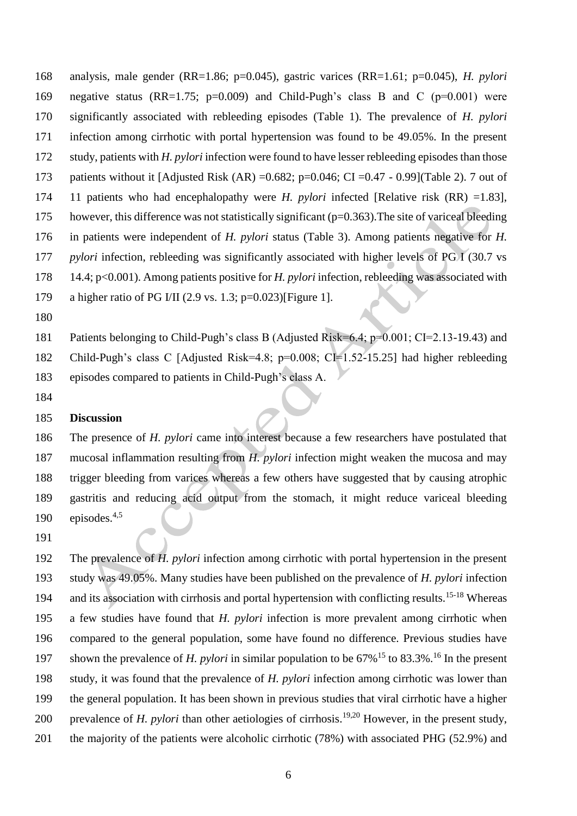analysis, male gender (RR=1.86; p=0.045), gastric varices (RR=1.61; p=0.045), *H. pylori*  negative status (RR=1.75; p=0.009) and Child-Pugh's class B and C (p=0.001) were significantly associated with rebleeding episodes (Table 1). The prevalence of *H. pylori*  infection among cirrhotic with portal hypertension was found to be 49.05%. In the present study, patients with *H. pylori* infection were found to have lesser rebleeding episodes than those 173 patients without it [Adjusted Risk (AR) =  $0.682$ ; p= $0.046$ ; CI =  $0.47 - 0.99$ ](Table 2). 7 out of 11 patients who had encephalopathy were *H. pylori* infected [Relative risk (RR) =1.83], however, this difference was not statistically significant (p=0.363).The site of variceal bleeding in patients were independent of *H. pylori* status (Table 3). Among patients negative for *H. pylori* infection, rebleeding was significantly associated with higher levels of PG I (30.7 vs 14.4; p<0.001). Among patients positive for *H. pylori* infection, rebleeding was associated with a higher ratio of PG I/II (2.9 vs. 1.3; p=0.023)[Figure 1].

 Patients belonging to Child-Pugh's class B (Adjusted Risk=6.4; p=0.001; CI=2.13-19.43) and Child-Pugh's class C [Adjusted Risk=4.8; p=0.008; CI=1.52-15.25] had higher rebleeding episodes compared to patients in Child-Pugh's class A.

#### **Discussion**

 The presence of *H. pylori* came into interest because a few researchers have postulated that mucosal inflammation resulting from *H. pylori* infection might weaken the mucosa and may trigger bleeding from varices whereas a few others have suggested that by causing atrophic gastritis and reducing acid output from the stomach, it might reduce variceal bleeding 190 episodes. $4,5$ 

 The prevalence of *H. pylori* infection among cirrhotic with portal hypertension in the present study was 49.05%. Many studies have been published on the prevalence of *H. pylori* infection 194 and its association with cirrhosis and portal hypertension with conflicting results. <sup>15-18</sup> Whereas a few studies have found that *H. pylori* infection is more prevalent among cirrhotic when compared to the general population, some have found no difference. Previous studies have 197 shown the prevalence of *H. pylori* in similar population to be 67%<sup>15</sup> to 83.3%<sup>16</sup> In the present study, it was found that the prevalence of *H. pylori* infection among cirrhotic was lower than the general population. It has been shown in previous studies that viral cirrhotic have a higher 200 prevalence of *H. pylori* than other aetiologies of cirrhosis.<sup>19,20</sup> However, in the present study, 201 the majority of the patients were alcoholic cirrhotic (78%) with associated PHG (52.9%) and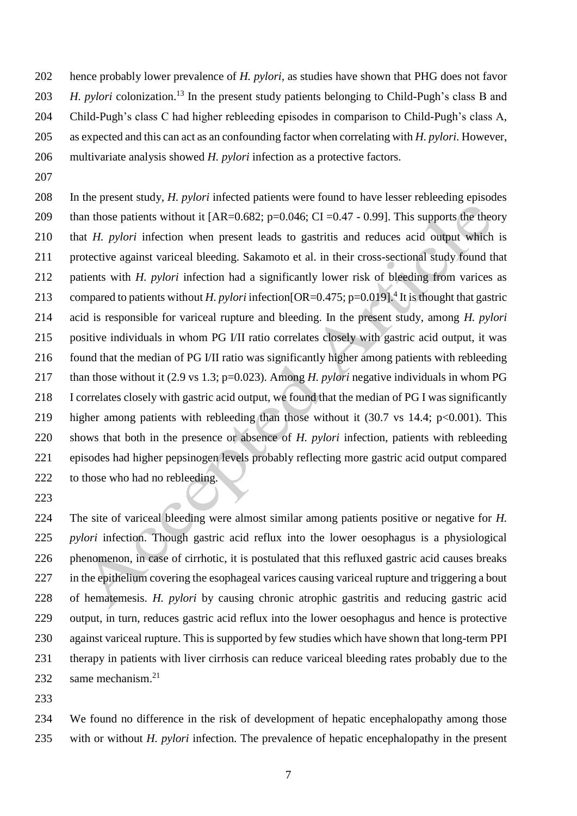hence probably lower prevalence of *H. pylori,* as studies have shown that PHG does not favor *H. pylori* colonization.<sup>13</sup> In the present study patients belonging to Child-Pugh's class B and Child-Pugh's class C had higher rebleeding episodes in comparison to Child-Pugh's class A, as expected and this can act as an confounding factor when correlating with *H. pylori.* However, multivariate analysis showed *H. pylori* infection as a protective factors.

 In the present study, *H. pylori* infected patients were found to have lesser rebleeding episodes 209 than those patients without it  $[AR=0.682; p=0.046; CI=0.47 - 0.99]$ . This supports the theory that *H. pylori* infection when present leads to gastritis and reduces acid output which is protective against variceal bleeding. Sakamoto et al. in their cross-sectional study found that patients with *H. pylori* infection had a significantly lower risk of bleeding from varices as 213 compared to patients without *H. pylori* infection [OR=0.475; p=0.019]<sup>4</sup> It is thought that gastric acid is responsible for variceal rupture and bleeding. In the present study, among *H. pylori*  positive individuals in whom PG I/II ratio correlates closely with gastric acid output, it was found that the median of PG I/II ratio was significantly higher among patients with rebleeding than those without it (2.9 vs 1.3; p=0.023). Among *H. pylori* negative individuals in whom PG I correlates closely with gastric acid output, we found that the median of PG I was significantly 219 higher among patients with rebleeding than those without it (30.7 vs 14.4; p<0.001). This shows that both in the presence or absence of *H. pylori* infection, patients with rebleeding episodes had higher pepsinogen levels probably reflecting more gastric acid output compared 222 to those who had no rebleeding.

 The site of variceal bleeding were almost similar among patients positive or negative for *H. pylori* infection. Though gastric acid reflux into the lower oesophagus is a physiological phenomenon, in case of cirrhotic, it is postulated that this refluxed gastric acid causes breaks in the epithelium covering the esophageal varices causing variceal rupture and triggering a bout of hematemesis. *H. pylori* by causing chronic atrophic gastritis and reducing gastric acid output, in turn, reduces gastric acid reflux into the lower oesophagus and hence is protective against variceal rupture. This is supported by few studies which have shown that long-term PPI therapy in patients with liver cirrhosis can reduce variceal bleeding rates probably due to the 232 same mechanism.<sup>21</sup>

 We found no difference in the risk of development of hepatic encephalopathy among those with or without *H. pylori* infection. The prevalence of hepatic encephalopathy in the present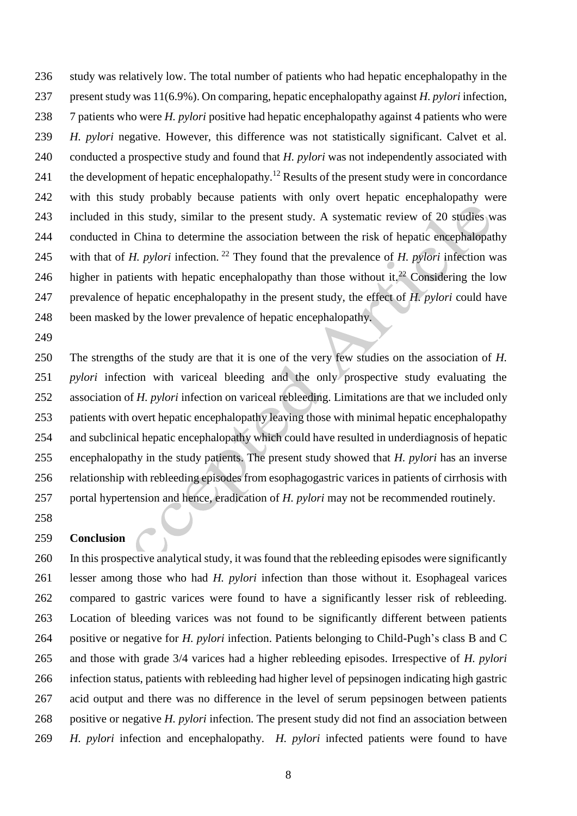study was relatively low. The total number of patients who had hepatic encephalopathy in the present study was 11(6.9%). On comparing, hepatic encephalopathy against *H. pylori* infection, 7 patients who were *H. pylori* positive had hepatic encephalopathy against 4 patients who were *H. pylori* negative. However, this difference was not statistically significant. Calvet et al. conducted a prospective study and found that *H. pylori* was not independently associated with 241 the development of hepatic encephalopathy.<sup>12</sup> Results of the present study were in concordance with this study probably because patients with only overt hepatic encephalopathy were included in this study, similar to the present study. A systematic review of 20 studies was conducted in China to determine the association between the risk of hepatic encephalopathy 245 with that of *H. pylori* infection.<sup>22</sup> They found that the prevalence of *H. pylori* infection was 246 higher in patients with hepatic encephalopathy than those without it.<sup>22</sup> Considering the low prevalence of hepatic encephalopathy in the present study, the effect of *H. pylori* could have been masked by the lower prevalence of hepatic encephalopathy.

 The strengths of the study are that it is one of the very few studies on the association of *H. pylori* infection with variceal bleeding and the only prospective study evaluating the association of *H. pylori* infection on variceal rebleeding. Limitations are that we included only patients with overt hepatic encephalopathy leaving those with minimal hepatic encephalopathy and subclinical hepatic encephalopathy which could have resulted in underdiagnosis of hepatic encephalopathy in the study patients. The present study showed that *H. pylori* has an inverse relationship with rebleeding episodes from esophagogastric varices in patients of cirrhosis with portal hypertension and hence, eradication of *H. pylori* may not be recommended routinely.

#### **Conclusion**

 In this prospective analytical study, it was found that the rebleeding episodes were significantly lesser among those who had *H. pylori* infection than those without it. Esophageal varices compared to gastric varices were found to have a significantly lesser risk of rebleeding. Location of bleeding varices was not found to be significantly different between patients positive or negative for *H. pylori* infection. Patients belonging to Child-Pugh's class B and C and those with grade 3/4 varices had a higher rebleeding episodes. Irrespective of *H. pylori*  infection status, patients with rebleeding had higher level of pepsinogen indicating high gastric acid output and there was no difference in the level of serum pepsinogen between patients positive or negative *H. pylori* infection. The present study did not find an association between *H. pylori* infection and encephalopathy. *H. pylori* infected patients were found to have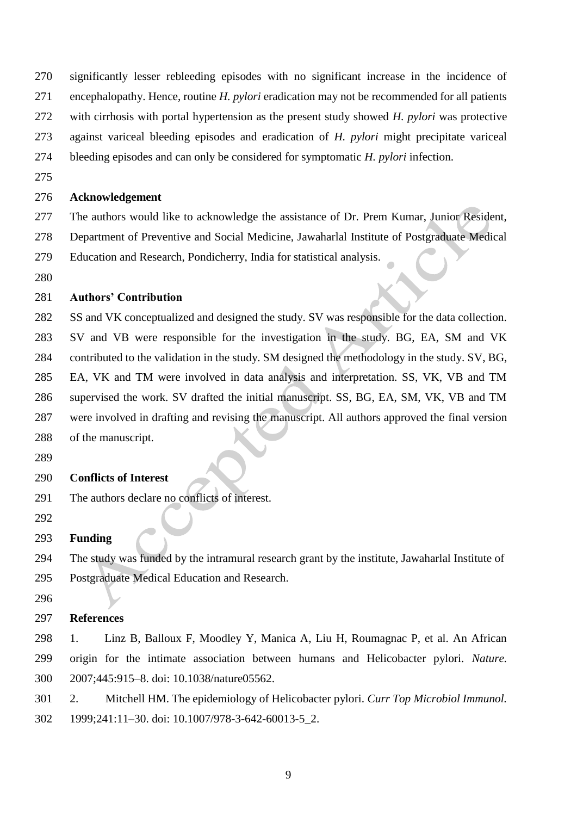- significantly lesser rebleeding episodes with no significant increase in the incidence of
- encephalopathy. Hence, routine *H. pylori* eradication may not be recommended for all patients
- with cirrhosis with portal hypertension as the present study showed *H. pylori* was protective
- against variceal bleeding episodes and eradication of *H. pylori* might precipitate variceal
- bleeding episodes and can only be considered for symptomatic *H. pylori* infection.
- 

# **Acknowledgement**

- The authors would like to acknowledge the assistance of Dr. Prem Kumar, Junior Resident, Department of Preventive and Social Medicine, Jawaharlal Institute of Postgraduate Medical
- Education and Research, Pondicherry, India for statistical analysis.
- 

# **Authors' Contribution**

- SS and VK conceptualized and designed the study. SV was responsible for the data collection. SV and VB were responsible for the investigation in the study. BG, EA, SM and VK contributed to the validation in the study. SM designed the methodology in the study. SV, BG, EA, VK and TM were involved in data analysis and interpretation. SS, VK, VB and TM supervised the work. SV drafted the initial manuscript. SS, BG, EA, SM, VK, VB and TM were involved in drafting and revising the manuscript. All authors approved the final version of the manuscript.
- 

#### **Conflicts of Interest**

- The authors declare no conflicts of interest.
- 

#### **Funding**

- The study was funded by the intramural research grant by the institute, Jawaharlal Institute of Postgraduate Medical Education and Research.
- 

#### **References**

- 1. Linz B, Balloux F, Moodley Y, Manica A, Liu H, Roumagnac P, et al. An African origin for the intimate association between humans and Helicobacter pylori. *Nature.*  2007;445:915–8. doi: 10.1038/nature05562.
- 2. Mitchell HM. The epidemiology of Helicobacter pylori. *Curr Top Microbiol Immunol.*  1999;241:11–30. doi: 10.1007/978-3-642-60013-5\_2.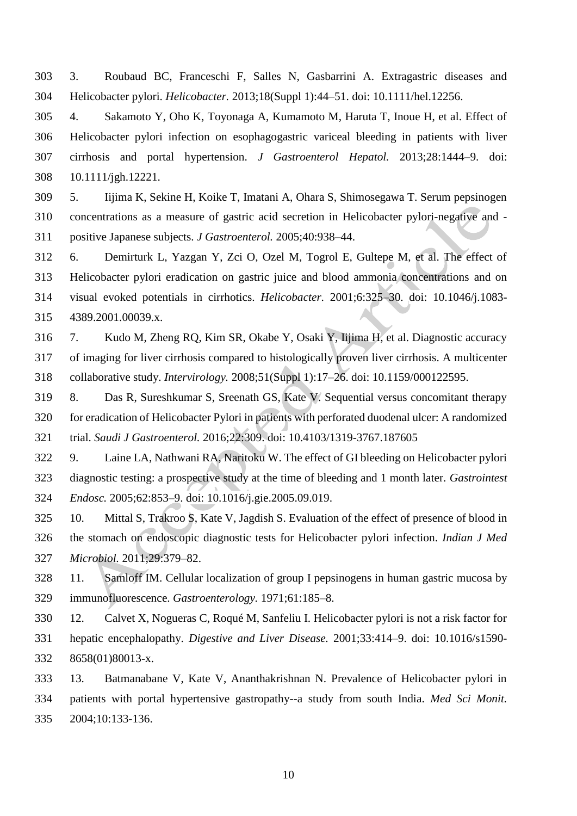3. Roubaud BC, Franceschi F, Salles N, Gasbarrini A. Extragastric diseases and Helicobacter pylori. *Helicobacter.* 2013;18(Suppl 1):44–51. doi: 10.1111/hel.12256.

 4. Sakamoto Y, Oho K, Toyonaga A, Kumamoto M, Haruta T, Inoue H, et al. Effect of Helicobacter pylori infection on esophagogastric variceal bleeding in patients with liver cirrhosis and portal hypertension. *J Gastroenterol Hepatol.* 2013;28:1444–9. doi: 10.1111/jgh.12221.

 5. Iijima K, Sekine H, Koike T, Imatani A, Ohara S, Shimosegawa T. Serum pepsinogen concentrations as a measure of gastric acid secretion in Helicobacter pylori-negative and - positive Japanese subjects. *J Gastroenterol.* 2005;40:938–44.

 6. Demirturk L, Yazgan Y, Zci O, Ozel M, Togrol E, Gultepe M, et al. The effect of Helicobacter pylori eradication on gastric juice and blood ammonia concentrations and on visual evoked potentials in cirrhotics. *Helicobacter.* 2001;6:325–30. doi: 10.1046/j.1083- 4389.2001.00039.x.

 7. Kudo M, Zheng RQ, Kim SR, Okabe Y, Osaki Y, Iijima H, et al. Diagnostic accuracy of imaging for liver cirrhosis compared to histologically proven liver cirrhosis. A multicenter collaborative study. *Intervirology.* 2008;51(Suppl 1):17–26. doi: 10.1159/000122595.

 8. Das R, Sureshkumar S, Sreenath GS, Kate V. Sequential versus concomitant therapy for eradication of Helicobacter Pylori in patients with perforated duodenal ulcer: A randomized trial. *Saudi J Gastroenterol.* 2016;22:309. doi: [10.4103/1319-3767.187605](https://dx.doi.org/10.4103%2F1319-3767.187605)

 9. Laine LA, Nathwani RA, Naritoku W. The effect of GI bleeding on Helicobacter pylori diagnostic testing: a prospective study at the time of bleeding and 1 month later. *Gastrointest Endosc.* 2005;62:853–9. doi: 10.1016/j.gie.2005.09.019.

 10. Mittal S, Trakroo S, Kate V, Jagdish S. Evaluation of the effect of presence of blood in the stomach on endoscopic diagnostic tests for Helicobacter pylori infection. *Indian J Med Microbiol.* 2011;29:379–82.

 11. Samloff IM. Cellular localization of group I pepsinogens in human gastric mucosa by immunofluorescence. *Gastroenterology.* 1971;61:185–8.

 12. Calvet X, Nogueras C, Roqué M, Sanfeliu I. Helicobacter pylori is not a risk factor for hepatic encephalopathy. *Digestive and Liver Disease.* 2001;33:414–9. doi: 10.1016/s1590- 8658(01)80013-x.

 13. Batmanabane V, Kate V, Ananthakrishnan N. Prevalence of Helicobacter pylori in patients with portal hypertensive gastropathy--a study from south India. *Med Sci Monit.*  2004;10:133-136.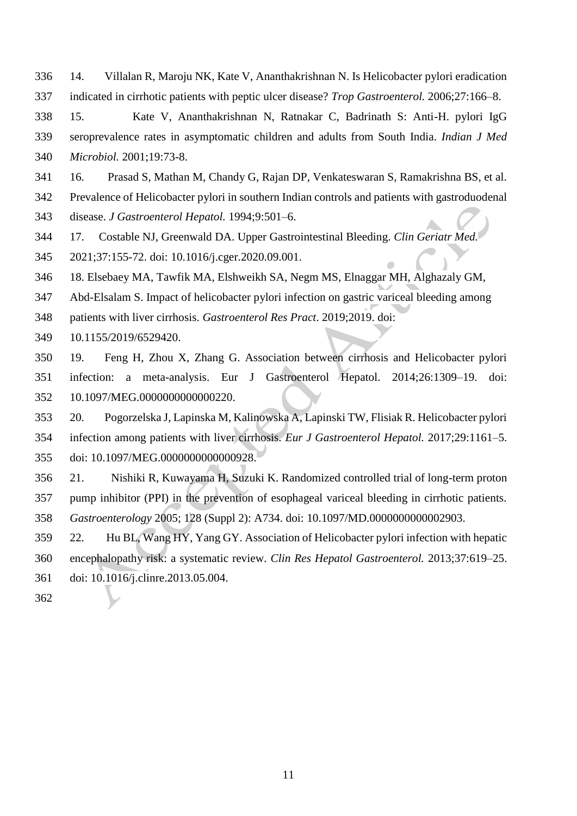- 14. Villalan R, Maroju NK, Kate V, Ananthakrishnan N. Is Helicobacter pylori eradication indicated in cirrhotic patients with peptic ulcer disease? *Trop Gastroenterol.* 2006;27:166–8.
- 15. Kate V, Ananthakrishnan N, Ratnakar C, Badrinath S: Anti-H. pylori IgG seroprevalence rates in asymptomatic children and adults from South India. *Indian J Med Microbiol.* 2001;19:73-8.
- 16. Prasad S, Mathan M, Chandy G, Rajan DP, Venkateswaran S, Ramakrishna BS, et al.
- Prevalence of Helicobacter pylori in southern Indian controls and patients with gastroduodenal
- disease. *J Gastroenterol Hepatol.* 1994;9:501–6.
- 17. Costable NJ, Greenwald DA. Upper Gastrointestinal Bleeding. *Clin Geriatr Med.*
- 2021;37:155-72. doi: 10.1016/j.cger.2020.09.001.
- 18. Elsebaey MA, Tawfik MA, Elshweikh SA, Negm MS, Elnaggar MH, Alghazaly GM,
- Abd-Elsalam S. Impact of helicobacter pylori infection on gastric variceal bleeding among
- patients with liver cirrhosis. *Gastroenterol Res Pract*. 2019;2019. doi:
- [10.1155/2019/6529420.](https://dx.doi.org/10.1155%2F2019%2F6529420)
- 19. Feng H, Zhou X, Zhang G. Association between cirrhosis and Helicobacter pylori infection: a meta-analysis. Eur J Gastroenterol Hepatol. 2014;26:1309–19. doi: 10.1097/MEG.0000000000000220.
- 20. Pogorzelska J, Lapinska M, Kalinowska A, Lapinski TW, Flisiak R. Helicobacter pylori infection among patients with liver cirrhosis. *Eur J Gastroenterol Hepatol.* 2017;29:1161–5. doi: 10.1097/MEG.0000000000000928.
- 21. Nishiki R, Kuwayama H, Suzuki K. Randomized controlled trial of long-term proton pump inhibitor (PPI) in the prevention of esophageal variceal bleeding in cirrhotic patients. *Gastroenterology* 2005; 128 (Suppl 2): A734. doi: 10.1097/MD.0000000000002903.
- 22. Hu BL, Wang HY, Yang GY. Association of Helicobacter pylori infection with hepatic encephalopathy risk: a systematic review. *Clin Res Hepatol Gastroenterol.* 2013;37:619–25. doi: 10.1016/j.clinre.2013.05.004.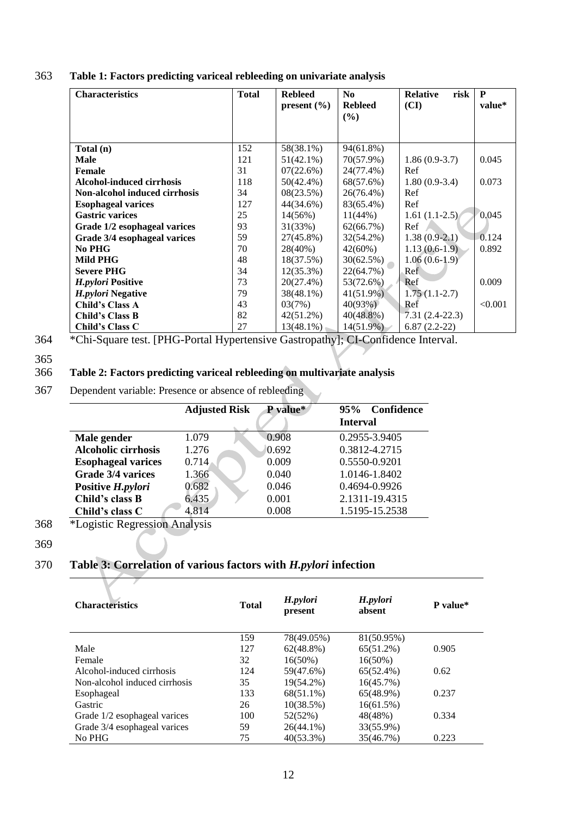| <b>Characteristics</b>           | <b>Total</b> | <b>Rebleed</b>  | N <sub>0</sub>           | <b>Relative</b><br>risk | P       |
|----------------------------------|--------------|-----------------|--------------------------|-------------------------|---------|
|                                  |              | present $(\% )$ | <b>Rebleed</b><br>$($ %) | (CI)                    | value*  |
|                                  |              |                 |                          |                         |         |
| Total (n)                        | 152          | 58(38.1%)       | $94(61.8\%)$             |                         |         |
| <b>Male</b>                      | 121          | $51(42.1\%)$    | 70(57.9%)                | $1.86(0.9-3.7)$         | 0.045   |
| Female                           | 31           | 07(22.6%)       | 24(77.4%)                | Ref                     |         |
| <b>Alcohol-induced cirrhosis</b> | 118          | 50(42.4%)       | 68(57.6%)                | $1.80(0.9-3.4)$         | 0.073   |
| Non-alcohol induced cirrhosis    | 34           | 08(23.5%)       | $26(76.4\%)$             | Ref                     |         |
| <b>Esophageal varices</b>        | 127          | 44(34.6%)       | 83(65.4%)                | Ref                     |         |
| <b>Gastric varices</b>           | 25           | $14(56\%)$      | 11(44%)                  | $1.61(1.1-2.5)$         | 0.045   |
| Grade 1/2 esophageal varices     | 93           | 31(33%)         | 62(66.7%)                | Ref                     |         |
| Grade 3/4 esophageal varices     | 59           | 27(45.8%)       | 32(54.2%)                | $1.38(0.9-2.1)$         | 0.124   |
| No PHG                           | 70           | 28(40%)         | $42(60\%)$               | $1.13(0.6-1.9)$         | 0.892   |
| Mild PHG                         | 48           | 18(37.5%)       | $30(62.5\%)$             | $1.06(0.6-1.9)$         |         |
| <b>Severe PHG</b>                | 34           | $12(35.3\%)$    | 22(64.7%)                | Ref                     |         |
| H.pylori Positive                | 73           | $20(27.4\%)$    | 53(72.6%)                | Ref                     | 0.009   |
| H.pylori Negative                | 79           | $38(48.1\%)$    | $41(51.9\%)$             | $1.75(1.1-2.7)$         |         |
| Child's Class A                  | 43           | 03(7%)          | 40(93%)                  | Ref                     | < 0.001 |
| <b>Child's Class B</b>           | 82           | $42(51.2\%)$    | $40(48.8\%)$             | $7.31(2.4-22.3)$        |         |
| Child's Class C                  | 27           | $13(48.1\%)$    | 14(51.9%)                | $6.87(2.2-22)$          |         |

363 **Table 1: Factors predicting variceal rebleeding on univariate analysis**

# 366 **Table 2: Factors predicting variceal rebleeding on multivariate analysis**

367 Dependent variable: Presence or absence of rebleeding

|                            | <b>Adjusted Risk</b> | P value* | 95% Confidence<br><b>Interval</b> |
|----------------------------|----------------------|----------|-----------------------------------|
| Male gender                | 1.079                | 0.908    | 0.2955-3.9405                     |
| <b>Alcoholic cirrhosis</b> | 1.276                | 0.692    | 0.3812-4.2715                     |
| <b>Esophageal varices</b>  | 0.714                | 0.009    | 0.5550-0.9201                     |
| Grade 3/4 varices          | 1.366                | 0.040    | 1.0146-1.8402                     |
| Positive H.pylori          | 0.682                | 0.046    | 0.4694-0.9926                     |
| Child's class B            | 6.435                | 0.001    | 2.1311-19.4315                    |
| Child's class C            | 4.814                | 0.008    | 1.5195-15.2538                    |

- 368 \*Logistic Regression Analysis
- 369

# 370 **Table 3: Correlation of various factors with** *H.pylori* **infection**

| <b>Characteristics</b>        | <b>Total</b> | H.pylori<br>present | H.pylori<br>absent | P value* |
|-------------------------------|--------------|---------------------|--------------------|----------|
|                               | 159          | 78(49.05%)          | 81(50.95%)         |          |
| Male                          | 127          | $62(48.8\%)$        | $65(51.2\%)$       | 0.905    |
| Female                        | 32           | $16(50\%)$          | $16(50\%)$         |          |
| Alcohol-induced cirrhosis     | 124          | 59(47.6%)           | 65(52.4%)          | 0.62     |
| Non-alcohol induced cirrhosis | 35           | 19(54.2%)           | $16(45.7\%)$       |          |
| Esophageal                    | 133          | $68(51.1\%)$        | 65(48.9%)          | 0.237    |
| Gastric                       | 26           | 10(38.5%)           | 16(61.5%)          |          |
| Grade 1/2 esophageal varices  | 100          | 52(52%)             | 48(48%)            | 0.334    |
| Grade 3/4 esophageal varices  | 59           | $26(44.1\%)$        | 33(55.9%)          |          |
| No PHG                        | 75           | $40(53.3\%)$        | 35(46.7%)          | 0.223    |

<sup>364</sup> \*Chi-Square test. [PHG-Portal Hypertensive Gastropathy]; CI-Confidence Interval.

<sup>365</sup>